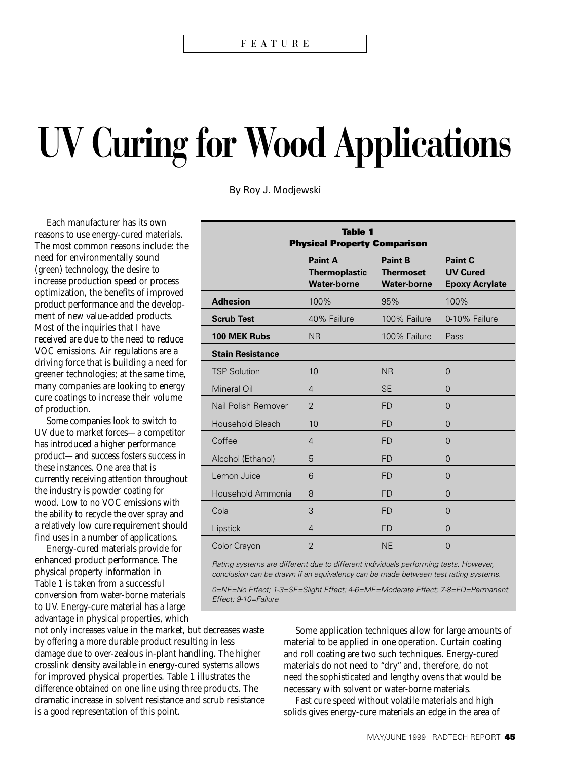# **UV Curing for Wood Applications**

By Roy J. Modjewski

Each manufacturer has its own reasons to use energy-cured materials. The most common reasons include: the need for environmentally sound (green) technology, the desire to increase production speed or process optimization, the benefits of improved product performance and the development of new value-added products. Most of the inquiries that I have received are due to the need to reduce VOC emissions. Air regulations are a driving force that is building a need for greener technologies; at the same time, many companies are looking to energy cure coatings to increase their volume of production.

Some companies look to switch to UV due to market forces—a competitor has introduced a higher performance product—and success fosters success in these instances. One area that is currently receiving attention throughout the industry is powder coating for wood. Low to no VOC emissions with the ability to recycle the over spray and a relatively low cure requirement should find uses in a number of applications.

Energy-cured materials provide for enhanced product performance. The physical property information in Table 1 is taken from a successful conversion from water-borne materials to UV. Energy-cure material has a large advantage in physical properties, which

not only increases value in the market, but decreases waste by offering a more durable product resulting in less damage due to over-zealous in-plant handling. The higher crosslink density available in energy-cured systems allows for improved physical properties. Table 1 illustrates the difference obtained on one line using three products. The dramatic increase in solvent resistance and scrub resistance is a good representation of this point.

| <b>Table 1</b><br><b>Physical Property Comparison</b> |                                                              |                                                          |                                                     |
|-------------------------------------------------------|--------------------------------------------------------------|----------------------------------------------------------|-----------------------------------------------------|
|                                                       | <b>Paint A</b><br><b>Thermoplastic</b><br><b>Water-borne</b> | <b>Paint B</b><br><b>Thermoset</b><br><b>Water-borne</b> | Paint C<br><b>UV Cured</b><br><b>Epoxy Acrylate</b> |
| <b>Adhesion</b>                                       | 100%                                                         | 95%                                                      | 100%                                                |
| <b>Scrub Test</b>                                     | 40% Failure                                                  | 100% Failure                                             | 0-10% Failure                                       |
| 100 MEK Rubs                                          | <b>NR</b>                                                    | 100% Failure                                             | Pass                                                |
| <b>Stain Resistance</b>                               |                                                              |                                                          |                                                     |
| <b>TSP Solution</b>                                   | 10                                                           | <b>NR</b>                                                | $\Omega$                                            |
| Mineral Oil                                           | $\overline{4}$                                               | <b>SE</b>                                                | $\Omega$                                            |
| Nail Polish Remover                                   | $\overline{2}$                                               | <b>FD</b>                                                | $\Omega$                                            |
| <b>Household Bleach</b>                               | 10                                                           | <b>FD</b>                                                | $\Omega$                                            |
| Coffee                                                | $\overline{4}$                                               | <b>FD</b>                                                | $\Omega$                                            |
| Alcohol (Ethanol)                                     | 5                                                            | <b>FD</b>                                                | $\Omega$                                            |
| Lemon Juice                                           | 6                                                            | <b>FD</b>                                                | $\Omega$                                            |
| Household Ammonia                                     | 8                                                            | <b>FD</b>                                                | $\Omega$                                            |
| Cola                                                  | 3                                                            | <b>FD</b>                                                | $\Omega$                                            |
| Lipstick                                              | $\overline{4}$                                               | <b>FD</b>                                                | $\overline{0}$                                      |
| Color Crayon                                          | $\overline{2}$                                               | <b>NE</b>                                                | $\overline{0}$                                      |

Rating systems are different due to different individuals performing tests. However, conclusion can be drawn if an equivalency can be made between test rating systems.

0=NE=No Effect; 1-3=SE=Slight Effect; 4-6=ME=Moderate Effect; 7-8=FD=Permanent Effect; 9-10=Failure

> Some application techniques allow for large amounts of material to be applied in one operation. Curtain coating and roll coating are two such techniques. Energy-cured materials do not need to "dry" and, therefore, do not need the sophisticated and lengthy ovens that would be necessary with solvent or water-borne materials.

Fast cure speed without volatile materials and high solids gives energy-cure materials an edge in the area of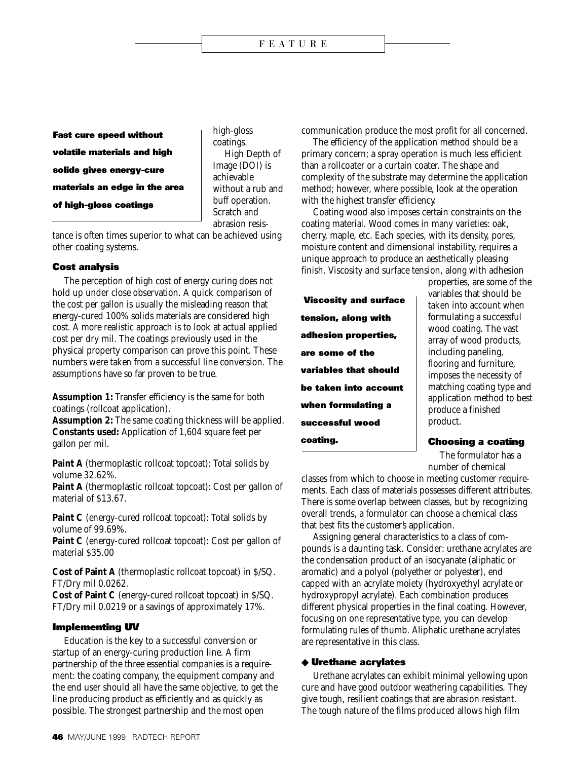**Fast cure speed without volatile materials and high solids gives energy-cure materials an edge in the area of high-gloss coatings**

high-gloss coatings. High Depth of Image (DOI) is achievable without a rub and buff operation. Scratch and abrasion resis-

tance is often times superior to what can be achieved using other coating systems.

# **Cost analysis**

The perception of high cost of energy curing does not hold up under close observation. A quick comparison of the cost per gallon is usually the misleading reason that energy-cured 100% solids materials are considered high cost. A more realistic approach is to look at actual applied cost per dry mil. The coatings previously used in the physical property comparison can prove this point. These numbers were taken from a successful line conversion. The assumptions have so far proven to be true.

**Assumption 1:** Transfer efficiency is the same for both coatings (rollcoat application).

**Assumption 2:** The same coating thickness will be applied. **Constants used:** Application of 1,604 square feet per gallon per mil.

**Paint A** (thermoplastic rollcoat topcoat): Total solids by volume 32.62%.

Paint A (thermoplastic rollcoat topcoat): Cost per gallon of material of \$13.67.

**Paint C** (energy-cured rollcoat topcoat): Total solids by volume of 99.69%.

**Paint C** (energy-cured rollcoat topcoat): Cost per gallon of material \$35.00

**Cost of Paint A** (thermoplastic rollcoat topcoat) in \$/SQ. FT/Dry mil 0.0262.

**Cost of Paint C** (energy-cured rollcoat topcoat) in \$/SQ. FT/Dry mil 0.0219 or a savings of approximately 17%.

# **Implementing UV**

Education is the key to a successful conversion or startup of an energy-curing production line. A firm partnership of the three essential companies is a requirement: the coating company, the equipment company and the end user should all have the same objective, to get the line producing product as efficiently and as quickly as possible. The strongest partnership and the most open

communication produce the most profit for all concerned.

The efficiency of the application method should be a primary concern; a spray operation is much less efficient than a rollcoater or a curtain coater. The shape and complexity of the substrate may determine the application method; however, where possible, look at the operation with the highest transfer efficiency.

Coating wood also imposes certain constraints on the coating material. Wood comes in many varieties: oak, cherry, maple, etc. Each species, with its density, pores, moisture content and dimensional instability, requires a unique approach to produce an aesthetically pleasing finish. Viscosity and surface tension, along with adhesion

 **Viscosity and surface tension, along with adhesion properties, are some of the variables that should be taken into account when formulating a successful wood coating.**

properties, are some of the variables that should be taken into account when formulating a successful wood coating. The vast array of wood products, including paneling, flooring and furniture, imposes the necessity of matching coating type and application method to best produce a finished product.

## **Choosing a coating**

The formulator has a number of chemical

classes from which to choose in meeting customer requirements. Each class of materials possesses different attributes. There is some overlap between classes, but by recognizing overall trends, a formulator can choose a chemical class that best fits the customer's application.

Assigning general characteristics to a class of compounds is a daunting task. Consider: urethane acrylates are the condensation product of an isocyanate (aliphatic or aromatic) and a polyol (polyether or polyester), end capped with an acrylate moiety (hydroxyethyl acrylate or hydroxypropyl acrylate). Each combination produces different physical properties in the final coating. However, focusing on one representative type, you can develop formulating rules of thumb. Aliphatic urethane acrylates are representative in this class.

# ◆ **Urethane acrylates**

Urethane acrylates can exhibit minimal yellowing upon cure and have good outdoor weathering capabilities. They give tough, resilient coatings that are abrasion resistant. The tough nature of the films produced allows high film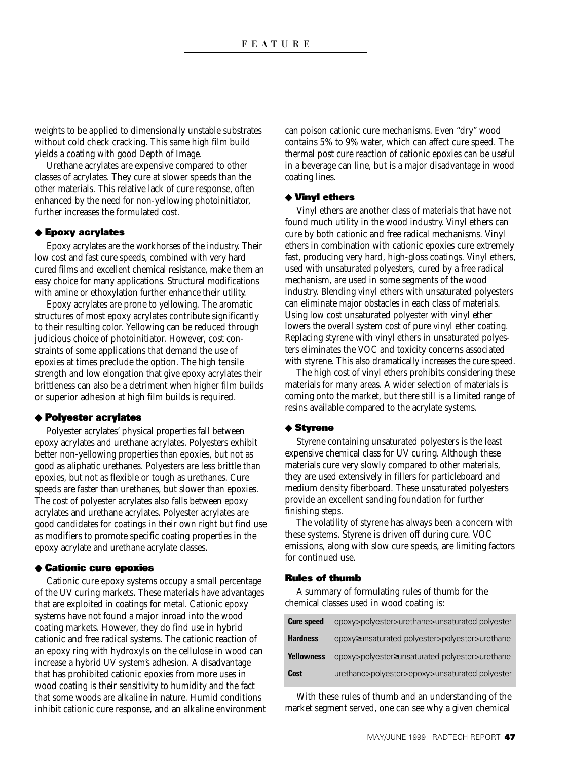weights to be applied to dimensionally unstable substrates without cold check cracking. This same high film build yields a coating with good Depth of Image.

Urethane acrylates are expensive compared to other classes of acrylates. They cure at slower speeds than the other materials. This relative lack of cure response, often enhanced by the need for non-yellowing photoinitiator, further increases the formulated cost.

## ◆ **Epoxy acrylates**

Epoxy acrylates are the workhorses of the industry. Their low cost and fast cure speeds, combined with very hard cured films and excellent chemical resistance, make them an easy choice for many applications. Structural modifications with amine or ethoxylation further enhance their utility.

Epoxy acrylates are prone to yellowing. The aromatic structures of most epoxy acrylates contribute significantly to their resulting color. Yellowing can be reduced through judicious choice of photoinitiator. However, cost constraints of some applications that demand the use of epoxies at times preclude the option. The high tensile strength and low elongation that give epoxy acrylates their brittleness can also be a detriment when higher film builds or superior adhesion at high film builds is required.

## ◆ **Polyester acrylates**

Polyester acrylates' physical properties fall between epoxy acrylates and urethane acrylates. Polyesters exhibit better non-yellowing properties than epoxies, but not as good as aliphatic urethanes. Polyesters are less brittle than epoxies, but not as flexible or tough as urethanes. Cure speeds are faster than urethanes, but slower than epoxies. The cost of polyester acrylates also falls between epoxy acrylates and urethane acrylates. Polyester acrylates are good candidates for coatings in their own right but find use as modifiers to promote specific coating properties in the epoxy acrylate and urethane acrylate classes.

### ◆ **Cationic cure epoxies**

Cationic cure epoxy systems occupy a small percentage of the UV curing markets. These materials have advantages that are exploited in coatings for metal. Cationic epoxy systems have not found a major inroad into the wood coating markets. However, they do find use in hybrid cationic and free radical systems. The cationic reaction of an epoxy ring with hydroxyls on the cellulose in wood can increase a hybrid UV system's adhesion. A disadvantage that has prohibited cationic epoxies from more uses in wood coating is their sensitivity to humidity and the fact that some woods are alkaline in nature. Humid conditions inhibit cationic cure response, and an alkaline environment

can poison cationic cure mechanisms. Even "dry" wood contains 5% to 9% water, which can affect cure speed. The thermal post cure reaction of cationic epoxies can be useful in a beverage can line, but is a major disadvantage in wood coating lines.

#### ◆ **Vinyl ethers**

Vinyl ethers are another class of materials that have not found much utility in the wood industry. Vinyl ethers can cure by both cationic and free radical mechanisms. Vinyl ethers in combination with cationic epoxies cure extremely fast, producing very hard, high-gloss coatings. Vinyl ethers, used with unsaturated polyesters, cured by a free radical mechanism, are used in some segments of the wood industry. Blending vinyl ethers with unsaturated polyesters can eliminate major obstacles in each class of materials. Using low cost unsaturated polyester with vinyl ether lowers the overall system cost of pure vinyl ether coating. Replacing styrene with vinyl ethers in unsaturated polyesters eliminates the VOC and toxicity concerns associated with styrene. This also dramatically increases the cure speed.

The high cost of vinyl ethers prohibits considering these materials for many areas. A wider selection of materials is coming onto the market, but there still is a limited range of resins available compared to the acrylate systems.

## ◆ **Styrene**

Styrene containing unsaturated polyesters is the least expensive chemical class for UV curing. Although these materials cure very slowly compared to other materials, they are used extensively in fillers for particleboard and medium density fiberboard. These unsaturated polyesters provide an excellent sanding foundation for further finishing steps.

The volatility of styrene has always been a concern with these systems. Styrene is driven off during cure. VOC emissions, along with slow cure speeds, are limiting factors for continued use.

#### **Rules of thumb**

A summary of formulating rules of thumb for the chemical classes used in wood coating is:

| <b>Cure speed</b> | epoxy>polyester>urethane>unsaturated polyester |
|-------------------|------------------------------------------------|
| <b>Hardness</b>   | epoxy≥unsaturated polyester>polyester>urethane |
| <b>Yellowness</b> | epoxy>polyester≥unsaturated polyester>urethane |
| <b>Cost</b>       | urethane>polyester>epoxy>unsaturated polyester |
|                   |                                                |

With these rules of thumb and an understanding of the market segment served, one can see why a given chemical